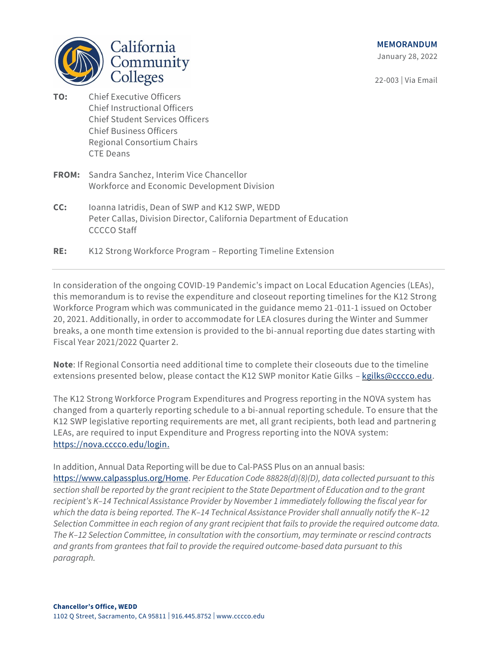**MEMORANDUM** 

January 28, 2022

22-003 | Via Email



- **TO:** Chief Executive Officers Chief Instructional Officers Chief Student Services Officers Chief Business Officers Regional Consortium Chairs CTE Deans
- **FROM:** Sandra Sanchez, Interim Vice Chancellor Workforce and Economic Development Division
- **CC:** Ioanna Iatridis, Dean of SWP and K12 SWP, WEDD Peter Callas, Division Director, California Department of Education CCCCO Staff
- **RE:** K12 Strong Workforce Program Reporting Timeline Extension

In consideration of the ongoing COVID-19 Pandemic's impact on Local Education Agencies (LEAs), this memorandum is to revise the expenditure and closeout reporting timelines for the K12 Strong Workforce Program which was communicated in the guidance memo 21-011-1 issued on October 20, 2021. Additionally, in order to accommodate for LEA closures during the Winter and Summer breaks, a one month time extension is provided to the bi-annual reporting due dates starting with Fiscal Year 2021/2022 Quarter 2.

**Note**: If Regional Consortia need additional time to complete their closeouts due to the timeline extensions presented below, please contact the K12 SWP monitor Katie Gilks - [kgilks@cccco.edu.](mailto:kgilks@cccco.edu)

The K12 Strong Workforce Program Expenditures and Progress reporting in the NOVA system has changed from a quarterly reporting schedule to a bi-annual reporting schedule. To ensure that the K12 SWP legislative reporting requirements are met, all grant recipients, both lead and partnering LEAs, are required to input Expenditure and Progress reporting into the NOVA system: [https://nova.cccco.edu/login.](https://nova.cccco.edu/login)

In addition, Annual Data Reporting will be due to Cal-PASS Plus on an annual basis:

[https://www.calpassplus.org/Home.](https://www.calpassplus.org/Home) *Per Education Code 88828(d)(8)(D), data collected pursuant to this section shall be reported by the grant recipient to the State Department of Education and to the grant recipient's K–14 Technical Assistance Provider by November 1 immediately following the fiscal year for which the data is being reported. The K–14 Technical Assistance Provider shall annually notify the K–12 Selection Committee in each region of any grant recipient that fails to provide the required outcome data. The K–12 Selection Committee, in consultation with the consortium, may terminate or rescind contracts and grants from grantees that fail to provide the required outcome-based data pursuant to this paragraph.*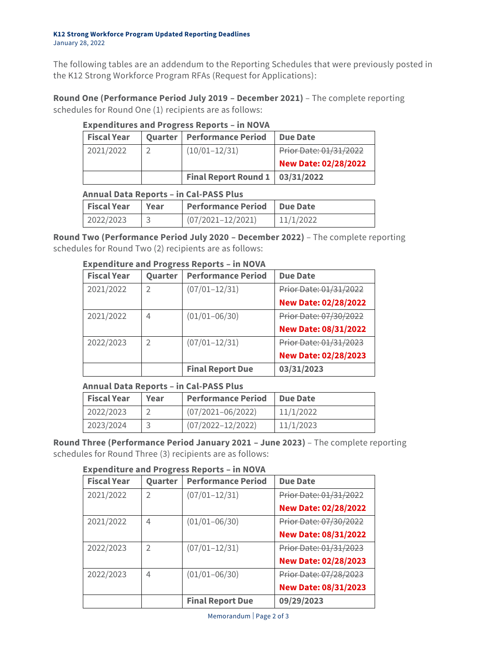#### **K12 Strong Workforce Program Updated Reporting Deadlines** January 28, 2022

The following tables are an addendum to the Reporting Schedules that were previously posted in the K12 Strong Workforce Program RFAs (Request for Applications):

**Round One (Performance Period July 2019 – December 2021)** – The complete reporting schedules for Round One (1) recipients are as follows:

| <b>Expenditures and Progress Reports - in NOVA</b> |  |
|----------------------------------------------------|--|
|----------------------------------------------------|--|

| <b>Fiscal Year</b> | <b>Quarter   Performance Period</b> | <b>Due Date</b>             |
|--------------------|-------------------------------------|-----------------------------|
| 2021/2022          | $(10/01 - 12/31)$                   | Prior Date: 01/31/2022      |
|                    |                                     | <b>New Date: 02/28/2022</b> |
|                    | Final Report Round 1   03/31/2022   |                             |

## **Annual Data Reports – in Cal-PASS Plus**

| <b>Fiscal Year</b> | l Year | Performance Period Due Date |           |
|--------------------|--------|-----------------------------|-----------|
| 2022/2023          |        | $(07/2021 - 12/2021)$       | 11/1/2022 |

**Round Two (Performance Period July 2020 – December 2022)** – The complete reporting schedules for Round Two (2) recipients are as follows:

| LAPCHUILUI C ANU FIUGICSS REPUI LS – III NUVA |         |                           |                             |
|-----------------------------------------------|---------|---------------------------|-----------------------------|
| <b>Fiscal Year</b>                            | Quarter | <b>Performance Period</b> | <b>Due Date</b>             |
| 2021/2022                                     |         | $(07/01 - 12/31)$         | Prior Date: 01/31/2022      |
|                                               |         |                           | <b>New Date: 02/28/2022</b> |
| 2021/2022                                     | 4       | $(01/01 - 06/30)$         | Prior Date: 07/30/2022      |
|                                               |         |                           | <b>New Date: 08/31/2022</b> |
| 2022/2023                                     |         | $(07/01 - 12/31)$         | Prior Date: 01/31/2023      |
|                                               |         |                           | <b>New Date: 02/28/2023</b> |
|                                               |         | <b>Final Report Due</b>   | 03/31/2023                  |

# **Expenditure and Progress Reports – in NOVA**

# **Annual Data Reports – in Cal-PASS Plus**

| <b>Fiscal Year</b> | Year | <b>Performance Period</b> | <b>Due Date</b> |
|--------------------|------|---------------------------|-----------------|
| 2022/2023          |      | $(07/2021 - 06/2022)$     | 11/1/2022       |
| 2023/2024          |      | $(07/2022 - 12/2022)$     | 11/1/2023       |

**Round Three (Performance Period January 2021 – June 2023)** – The complete reporting schedules for Round Three (3) recipients are as follows:

| <b>Fiscal Year</b> | Quarter        | <b>Performance Period</b> | <b>Due Date</b>             |
|--------------------|----------------|---------------------------|-----------------------------|
| 2021/2022          | $\mathcal{P}$  | $(07/01 - 12/31)$         | Prior Date: 01/31/2022      |
|                    |                |                           | <b>New Date: 02/28/2022</b> |
| 2021/2022          | 4              | $(01/01 - 06/30)$         | Prior Date: 07/30/2022      |
|                    |                |                           | <b>New Date: 08/31/2022</b> |
| 2022/2023          | $\overline{2}$ | $(07/01 - 12/31)$         | Prior Date: 01/31/2023      |
|                    |                |                           | <b>New Date: 02/28/2023</b> |
| 2022/2023          | 4              | $(01/01 - 06/30)$         | Prior Date: 07/28/2023      |
|                    |                |                           | <b>New Date: 08/31/2023</b> |
|                    |                | <b>Final Report Due</b>   | 09/29/2023                  |

### **Expenditure and Progress Reports – in NOVA**